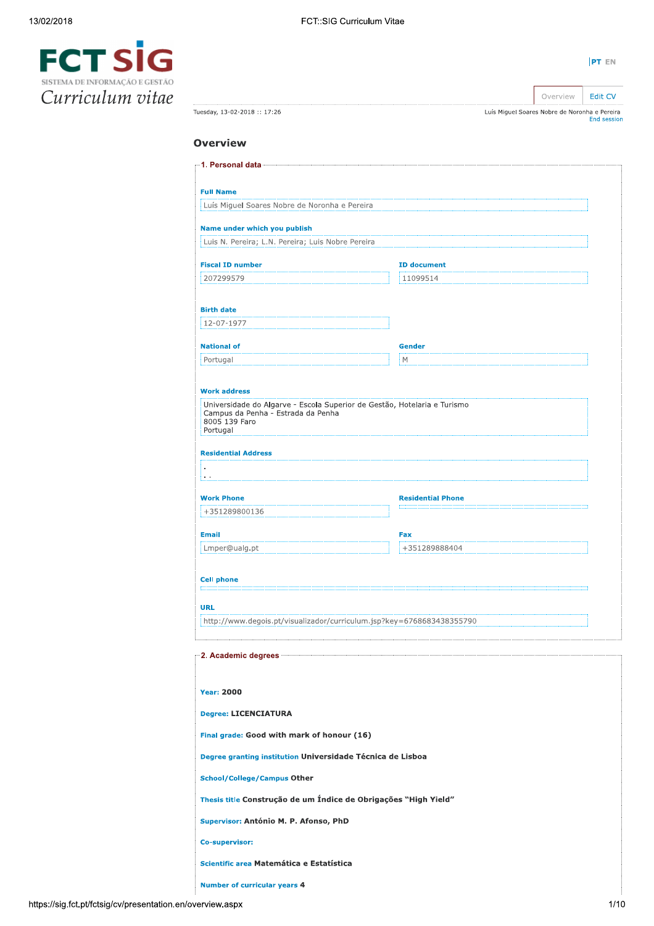| PT EN |  |
|-------|--|



|                             |                                               | Overview | Edit CV            |
|-----------------------------|-----------------------------------------------|----------|--------------------|
| Tuesday, 13-02-2018:: 17:26 | Luís Miguel Soares Nobre de Noronha e Pereira |          | <b>End session</b> |

# **Overview**

| <b>Full Name</b>                                                                                                                                                                                                                                                                                                                                                             |                          |  |
|------------------------------------------------------------------------------------------------------------------------------------------------------------------------------------------------------------------------------------------------------------------------------------------------------------------------------------------------------------------------------|--------------------------|--|
| Luís Miguel Soares Nobre de Noronha e Pereira                                                                                                                                                                                                                                                                                                                                |                          |  |
| Name under which you publish                                                                                                                                                                                                                                                                                                                                                 |                          |  |
| Luis N. Pereira; L.N. Pereira; Luis Nobre Pereira                                                                                                                                                                                                                                                                                                                            |                          |  |
| <b>Fiscal ID number</b>                                                                                                                                                                                                                                                                                                                                                      | <b>ID document</b>       |  |
| 207299579                                                                                                                                                                                                                                                                                                                                                                    | 11099514                 |  |
|                                                                                                                                                                                                                                                                                                                                                                              |                          |  |
| <b>Birth date</b>                                                                                                                                                                                                                                                                                                                                                            |                          |  |
| 12-07-1977                                                                                                                                                                                                                                                                                                                                                                   |                          |  |
| <b>National of</b>                                                                                                                                                                                                                                                                                                                                                           | <b>Gender</b>            |  |
| Portugal                                                                                                                                                                                                                                                                                                                                                                     | М                        |  |
| <b>Work address</b>                                                                                                                                                                                                                                                                                                                                                          |                          |  |
| Universidade do Algarve - Escola Superior de Gestão, Hotelaria e Turismo<br>Campus da Penha - Estrada da Penha<br>8005 139 Faro<br>Portugal                                                                                                                                                                                                                                  |                          |  |
| <b>Residential Address</b>                                                                                                                                                                                                                                                                                                                                                   |                          |  |
|                                                                                                                                                                                                                                                                                                                                                                              |                          |  |
|                                                                                                                                                                                                                                                                                                                                                                              |                          |  |
| <b>Work Phone</b><br>+351289800136                                                                                                                                                                                                                                                                                                                                           | <b>Residential Phone</b> |  |
|                                                                                                                                                                                                                                                                                                                                                                              |                          |  |
| <b>Email</b><br>Lmper@ualg.pt                                                                                                                                                                                                                                                                                                                                                | Fax<br>+351289888404     |  |
|                                                                                                                                                                                                                                                                                                                                                                              |                          |  |
| <b>Cell phone</b>                                                                                                                                                                                                                                                                                                                                                            |                          |  |
|                                                                                                                                                                                                                                                                                                                                                                              |                          |  |
| <b>URL</b><br>http://www.degois.pt/visualizador/curriculum.jsp?key=6768683438355790                                                                                                                                                                                                                                                                                          |                          |  |
|                                                                                                                                                                                                                                                                                                                                                                              |                          |  |
|                                                                                                                                                                                                                                                                                                                                                                              |                          |  |
|                                                                                                                                                                                                                                                                                                                                                                              |                          |  |
|                                                                                                                                                                                                                                                                                                                                                                              |                          |  |
|                                                                                                                                                                                                                                                                                                                                                                              |                          |  |
|                                                                                                                                                                                                                                                                                                                                                                              |                          |  |
|                                                                                                                                                                                                                                                                                                                                                                              |                          |  |
|                                                                                                                                                                                                                                                                                                                                                                              |                          |  |
|                                                                                                                                                                                                                                                                                                                                                                              |                          |  |
|                                                                                                                                                                                                                                                                                                                                                                              |                          |  |
|                                                                                                                                                                                                                                                                                                                                                                              |                          |  |
|                                                                                                                                                                                                                                                                                                                                                                              |                          |  |
|                                                                                                                                                                                                                                                                                                                                                                              |                          |  |
| <b>Year: 2000</b><br><b>Degree: LICENCIATURA</b><br>Final grade: Good with mark of honour (16)<br>Degree granting institution Universidade Técnica de Lisboa<br><b>School/College/Campus Other</b><br>Thesis title Construção de um Índice de Obrigações "High Yield"<br>Supervisor: António M. P. Afonso, PhD<br>Co-supervisor:<br>Scientific area Matemática e Estatística |                          |  |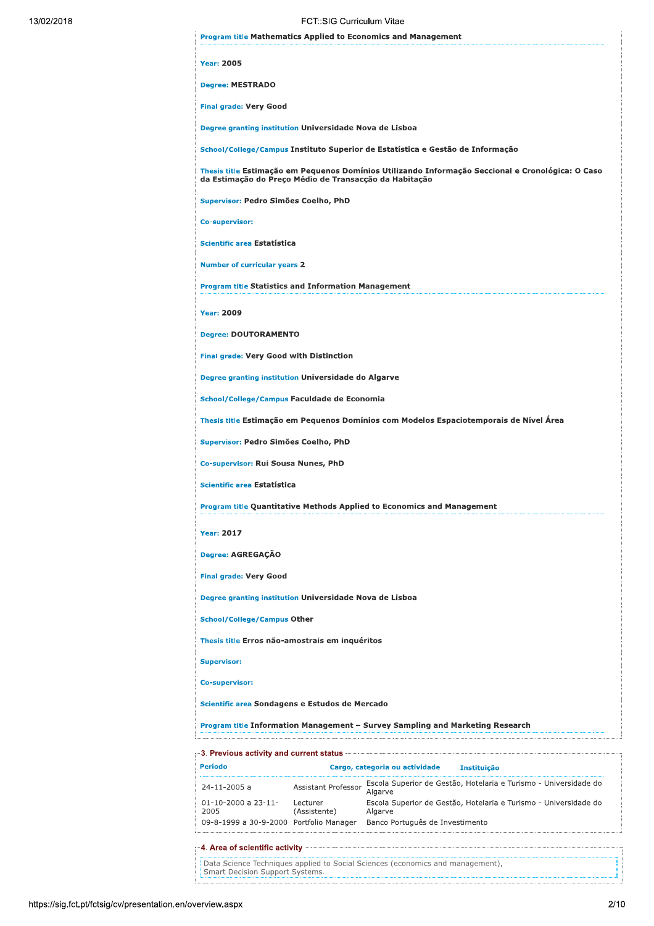| FCT::SIG Curriculum Vitae                                                                                                                                   |
|-------------------------------------------------------------------------------------------------------------------------------------------------------------|
| <b>Program title Mathematics Applied to Economics and Management</b>                                                                                        |
| <b>Year: 2005</b>                                                                                                                                           |
| <b>Degree: MESTRADO</b>                                                                                                                                     |
| <b>Final grade: Very Good</b>                                                                                                                               |
| Degree granting institution Universidade Nova de Lisboa                                                                                                     |
| School/College/Campus Instituto Superior de Estatística e Gestão de Informação                                                                              |
| Thesis title Estimação em Pequenos Domínios Utilizando Informação Seccional e Cronológica: O Caso<br>da Estimação do Preço Médio de Transacção da Habitação |
| Supervisor: Pedro Simões Coelho, PhD                                                                                                                        |
| <b>Co-supervisor:</b>                                                                                                                                       |
| Scientific area Estatística                                                                                                                                 |
| <b>Number of curricular years 2</b>                                                                                                                         |
| <b>Program title Statistics and Information Management</b>                                                                                                  |
| <b>Year: 2009</b>                                                                                                                                           |
| <b>Degree: DOUTORAMENTO</b>                                                                                                                                 |
| <b>Final grade: Very Good with Distinction</b>                                                                                                              |
| Degree granting institution Universidade do Algarve                                                                                                         |
| School/College/Campus Faculdade de Economia                                                                                                                 |
| Thesis title Estimação em Pequenos Domínios com Modelos Espaciotemporais de Nível Area                                                                      |
| Supervisor: Pedro Simões Coelho, PhD                                                                                                                        |
| Co-supervisor: Rui Sousa Nunes, PhD                                                                                                                         |
| Scientific area Estatística                                                                                                                                 |
| <b>Program title Quantitative Methods Applied to Economics and Management</b>                                                                               |
| <b>Year: 2017</b>                                                                                                                                           |
| Degree: AGREGAÇÃO                                                                                                                                           |
| <b>Final grade: Very Good</b>                                                                                                                               |
| Degree granting institution Universidade Nova de Lisboa                                                                                                     |
| <b>School/College/Campus Other</b>                                                                                                                          |
| Thesis title Erros não-amostrais em inquéritos                                                                                                              |
| <b>Supervisor:</b>                                                                                                                                          |
| Co-supervisor:                                                                                                                                              |
| Scientific area Sondagens e Estudos de Mercado                                                                                                              |
| Program title Information Management - Survey Sampling and Marketing Research                                                                               |

| and current status and current status in the status of the status of the status of the status of the status of |                                         |                          |                                 |                                                                  |
|----------------------------------------------------------------------------------------------------------------|-----------------------------------------|--------------------------|---------------------------------|------------------------------------------------------------------|
| Período                                                                                                        |                                         |                          | Cargo, categoria ou actividade  | <b>Instituicão</b>                                               |
|                                                                                                                | $24 - 11 - 2005$ a                      | Assistant Professor      | Algarve                         | Escola Superior de Gestão, Hotelaria e Turismo - Universidade do |
|                                                                                                                | $01 - 10 - 2000$ a $23 - 11 -$<br>2005  | Lecturer<br>(Assistente) | Algarve                         | Escola Superior de Gestão, Hotelaria e Turismo - Universidade do |
|                                                                                                                | 09-8-1999 a 30-9-2000 Portfolio Manager |                          | Banco Português de Investimento |                                                                  |

Data Science Techniques applied to Social Sciences (economics and management), Smart Decision Support Systems. ŧ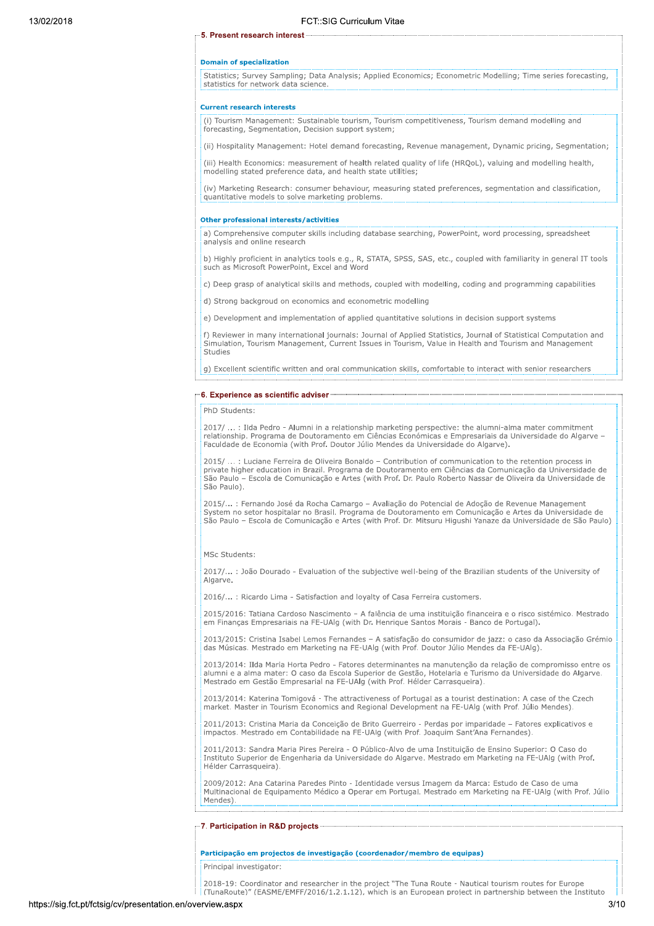#### 5. Present research interest-

### **Domain of specialization**

Statistics; Survey Sampling; Data Analysis; Applied Economics; Econometric Modelling; Time series forecasting,<br>statistics for network data science.

#### **Current research interests**

(i) Tourism Management: Sustainable tourism, Tourism competitiveness, Tourism demand modelling and forecasting, Segmentation, Decision support system:

(ii) Hospitality Management: Hotel demand forecasting, Revenue management, Dynamic pricing, Segmentation;

(iii) Health Economics: measurement of health related quality of life (HRQoL), valuing and modelling health, modelling stated preference data, and health state utilities;

(iv) Marketing Research: consumer behaviour, measuring stated preferences, segmentation and classification, quantitative models to solve marketing problems.

#### Other professional interests/activities

a) Comprehensive computer skills including database searching, PowerPoint, word processing, spreadsheet analysis and online research

b) Highly proficient in analytics tools e.g., R, STATA, SPSS, SAS, etc., coupled with familiarity in general IT tools such as Microsoft PowerPoint, Excel and Word

c) Deep grasp of analytical skills and methods, coupled with modelling, coding and programming capabilities

d) Strong backgroud on economics and econometric modelling

e) Development and implementation of applied quantitative solutions in decision support systems

f) Reviewer in many international journals: Journal of Applied Statistics, Journal of Statistical Computation and<br>Simulation, Tourism Management, Current Issues in Tourism, Value in Health and Tourism and Management Studies

g) Excellent scientific written and oral communication skills, comfortable to interact with senior researchers

#### 6. Experience as scientific adviser

#### PhD Students:

2017/ ... : Ilda Pedro - Alumni in a relationship marketing perspective: the alumni-alma mater commitment relationship. Programa de Doutoramento em Ciências Económicas e Empresariais da Universidade do Algarve -Faculdade de Economia (with Prof. Doutor Júlio Mendes da Universidade do Algarye).

.: Luciane Ferreira de Oliveira Bonaldo - Contribution of communication to the retention process in  $2015/$ private higher education in Brazil. Programa de Doutoramento em Ciências da Comunicação da Universidade de Private higher education in Brazil. Programa de Doutoramento em Ciências da Comunicação da Universidade de São Paulo - Escola de Comunicação e Artes (with Prof. Dr. Paulo Roberto Nassar de Oliveira da Universidade de São Paulo).

2015/... : Fernando José da Rocha Camargo - Avaliação do Potencial de Adoção de Revenue Management System no setor hospitalar no Brasil. Programa de Doutoramento em Comunicação e Artes da Universidade de São Paulo - Escola de Comunicação e Artes (with Prof. Dr. Mitsuru Higushi Yanaze da Universidade de São Paulo)

#### MSc Students:

2017/...: João Dourado - Evaluation of the subjective well-being of the Brazilian students of the University of Algarve.

2016/...: Ricardo Lima - Satisfaction and loyalty of Casa Ferreira customers.

2015/2016: Tatiana Cardoso Nascimento - A falência de uma instituição financeira e o risco sistémico. Mestrado em Finanças Empresariais na FE-UAlg (with Dr. Henrique Santos Morais - Banco de Portugal).

2013/2015: Cristina Isabel Lemos Fernandes - A satisfação do consumidor de jazz: o caso da Associação Grémio das Músicas. Mestrado em Marketing na FE-UAlg (with Prof. Doutor Júlio Mendes da FE-UAlg).

2013/2014: Ilda Maria Horta Pedro - Fatores determinantes na manutenção da relação de compromisso entre os alumni e a alma mater: O caso da Escola Superior de Gestão, Hotelaria e Turismo da Universidade do Algarve. Mestrado em Gestão Empresarial na FE-UAIg (with Prof. Hélder Carrasqueira).

2013/2014: Katerina Tomigová - The attractiveness of Portugal as a tourist destination: A case of the Czech market. Master in Tourism Economics and Regional Development na FE-UAIg (with Prof. Julio Mendes).

2011/2013: Cristina Maria da Conceição de Brito Guerreiro - Perdas por imparidade – Fatores explicativos e<br>impactos. Mestrado em Contabilidade na FE-UAlg (with Prof. Joaguim Sant'Ana Fernandes).

2011/2013: Sandra Maria Pires Pereira - O Público-Alvo de uma Instituição de Ensino Superior: O Caso do Instituto Superior de Engenharia da Universidade do Algarve. Mestrado em Marketing na FE-UAlg (with Prof. Hélder Carrasqueira).

2009/2012: Ana Catarina Paredes Pinto - Identidade versus Imagem da Marca: Estudo de Caso de uma Multinacional de Equipamento Médico a Operar em Portugal. Mestrado em Marketing na FE-UAIg (with Prof. Júlio Mendes).

### 7. Participation in R&D projects

#### Participação em projectos de investigação (coordenador/membro de equipas)

Principal investigator:

2018-19: Coordinator and researcher in the project "The Tuna Route - Nautical tourism routes for Europe (TunaRoute)" (EASME/EMFF/2016/1.2.1.12). which is an European proiect in partnership between the Instituto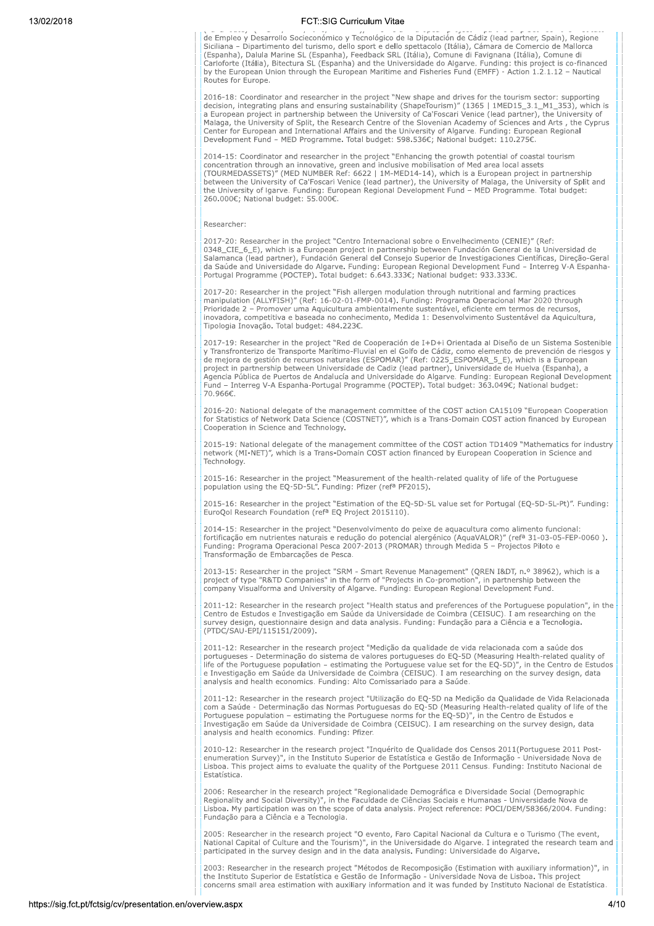de Empleo y Desarrollo Socieconómico y Tecnológico de la Diputación de Cádiz (lead partner, Spain), Regione Siciliana - Dipartimento del turismo, dello sport e dello spettacolo (Itália), Cámara de Comercio de Mallorca (Espanha), Dalula Marine SL (Espanha), Feedback SRL (Itália), Comune di Favignana (Itália), Comune di .<br>Carloforte (Itália), Bitectura SL (Espanha) and the Universidade do Algarve. Funding: this project is co-financed<br>by the European Union through the European Maritime and Fisheries Fund (EMFF) - Action 1.2.1.12 – Nautical Routes for Europe.

2016-18: Coordinator and researcher in the project "New shape and drives for the tourism sector: supporting decision, integrating plans and ensuring sustainability (ShapeTourism)" (1365 | 1MED15\_3.1\_M1\_353), which is a Eur Malaga, the University of Split, the Research Centre of the Slovenian Academy of Sciences and Arts., the Cyprus<br>Center for European and International Affairs and the University of Algarve. Funding: European Regional<br>Develo

2014-15: Coordinator and researcher in the project "Enhancing the growth potential of coastal tourism<br>concentration through an innovative, green and inclusive mobilisation of Med area local assets<br>(TOURMEDASSETS)" (MED NUM be University of Igarve. Funding: European Regional Development Fund – MED Programme. Total budget:<br>260.000€; National budget: 55.000€.

### Researcher:

2017-20: Researcher in the project "Centro Internacional sobre o Envelhecimento (CENIE)" (Ref: 0348\_CIE\_6\_E), which is a European project in partnership between Fundación General de la Universidad de Salamanca (lead partner), Fundación General del Consejo Superior de Investigaciones Científicas, Direção-Geral de Saúde and Universidade do Algarve. Funding: European Regional Development Fund – Interreg V-A Espanha-Portugal Programme (POCTEP). Total budget: 6.643.333€; National budget: 933.333€.

2017-20: Researcher in the project "Fish allergen modulation through nutritional and farming practices<br>manipulation (ALLYFISH)" (Ref: 16-02-01-FMP-0014). Funding: Programa Operacional Mar 2020 through Prioridade 2 – Promover uma Aquicultura ambientalmente sustentável, eficiente em termos de recursos, inovadora, competitiva e baseada no conhecimento, Medida 1: Desenvolvimento Sustentável da Aquicultura, Tipologia Inovação. Total budget: 484.223€.

2017-19: Researcher in the project "Red de Cooperación de I+D+i Orientada al Diseño de un Sistema Sostenible Fransfronterizo de Transporte Marítimo-Fluvial en el Golfo de Cádiz, como elemento de prevención de riesgos y<br>de mejora de gestión de recursos naturales (ESPOMAR)" (Ref: 0225\_ESPOMAR\_5\_E), which is a European<br>project in pa .<br>Agencia Pública de Puertos de Andalucía and Universidade do Algarve. Funding: European Regional Development Fund - Interreg V-A Espanha-Portugal Programme (POCTEP). Total budget: 363.049€; National budget: 70.966€.

2016-20: National delegate of the management committee of the COST action CA15109 "European Cooperation for Statistics of Network Data Science (COSTNET)", which is a Trans-Domain COST action financed by European Cooperation in Science and Technology.

2015-19: National delegate of the management committee of the COST action TD1409 "Mathematics for industry network (MI-NET)", which is a Trans-Domain COST action financed by European Cooperation in Science and Technology.

2015-16: Researcher in the project "Measurement of the health-related quality of life of the Portuguese<br>population using the EQ-5D-5L". Funding: Pfizer (ref<sup>a</sup> PF2015).

2015-16: Researcher in the project "Estimation of the EQ-5D-5L value set for Portugal (EQ-5D-5L-Pt)". Funding: EuroQol Research Foundation (ref<sup>a</sup> EQ Project 2015110).

.<br>2014-15: Researcher in the project "Desenvolvimento do peixe de aquacultura como alimento funcional:<br>fortificação em nutrientes naturais e redução do potencial alergénico (AquaVALOR)" (refª 31-03-05-FEP-0060). Funding: Programa Operacional Pesca 2007-2013 (PROMAR) through Medida 5 - Projectos Piloto e Transformação de Embarcações de Pesca.

2013-15: Researcher in the project "SRM - Smart Revenue Management" (QREN I&DT, n.º 38962), which is a project of type "R&TD Companies" in the form of "Projects in Co-promotion", in partnership between the<br>company Visualforma and University of Algarve. Funding: European Regional Development Fund.

2011-12: Researcher in the research project "Health status and preferences of the Portuguese population", in the Centro de Estudos e Investigação em Saúde da Universidade de Coimbra (CEISUC). I am researching on the survey design, questionnaire design and data analysis. Funding: Fundação para a Ciência e a Tecnologia. (PTDC/SAU-EPI/115151/2009).

2011-12: Researcher in the research project "Medição da qualidade de vida relacionada com a saúde dos Fortugueses - Determinação do sistema de valores portugueses do EQ-5D (Measuring Health-related quality of<br>life of the Portuguese population – estimating the Portuguese value set for the EQ-5D)", in the Centro de Estudos e Investigação em Saúde da Universidade de Coimbra (CEISUC). I am researching on the survey design, data analysis and health economics. Funding: Alto Comissariado para a Saúde.

2011-12: Researcher in the research project "Utilização do EQ-5D na Medição da Qualidade de Vida Relacionada com a Saúde - Determinação das Normas Portuguesas do EQ-5D (Measuring Health-related quality of life of the Portuguese population - estimating the Portuguese norms for the EQ-5D)", in the Centro de Estudos e Investigação em Saúde da Universidade de Coimbra (CEISUC). I am researching on the survey design, data analysis and health economics. Funding: Pfizer.

2010-12: Researcher in the research project "Inquérito de Qualidade dos Censos 2011 (Portuguese 2011 Postenumeration Survey)", in the Instituto Superior de Estatística e Gestão de Informação - Universidade Nova de Lisboa. This project aims to evaluate the quality of the Portguese 2011 Census. Funding: Instituto Nacional de Estatística.

2006: Researcher in the research project "Regionalidade Demográfica e Diversidade Social (Demographic<br>Regionality and Social Diversity)", in the Faculdade de Ciências Sociais e Humanas - Universidade Nova de Lisboa. My participation was on the scope of data analysis. Project reference: POCI/DEM/58366/2004. Funding: Fundação para a Ciência e a Tecnologia.

2005: Researcher in the research project "O evento, Faro Capital Nacional da Cultura e o Turismo (The event,<br>National Capital of Culture and the Tourism)", in the Universidade do Algarve. I integrated the research team and participated in the survey design and in the data analysis. Funding: Universidade do Algarve.

2003: Researcher in the research project "Métodos de Recomposição (Estimation with auxiliary information)", in<br>the Instituto Superior de Estatística e Gestão de Informação - Universidade Nova de Lisboa. This project<br>concer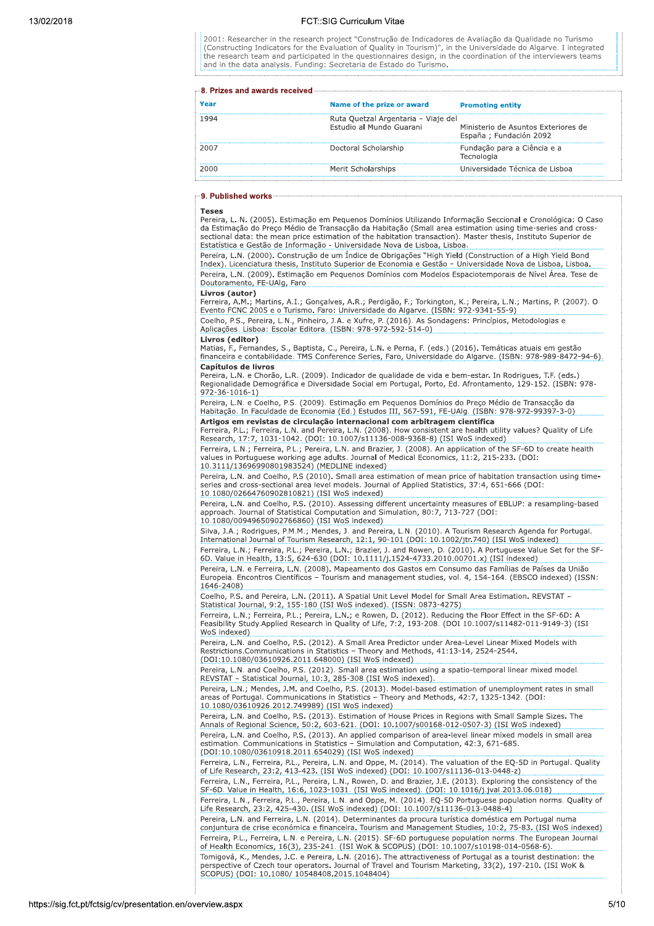2001: Researcher in the research project "Construção de Indicadores de Avaliação da Qualidade no Turismo (Constructing Indicators for the Evaluation of Quality in Tourism)", in the Universidade do Algarve. I integrated<br>the research team and participated in the questionnaires design, in the coordination of the interviewers tea and in the data analysis. Funding: Secretaria de Estado do Turismo.

| real | Name of the prize or award                                      | <b>Promoting entity</b>                                        |  |  |
|------|-----------------------------------------------------------------|----------------------------------------------------------------|--|--|
|      | Ruta Quetzal Argentaria - Viaje del<br>Estudio al Mundo Guarani | Ministerio de Asuntos Exteriores de<br>España ; Fundación 2092 |  |  |
|      | Doctoral Scholarship                                            | Fundação para a Ciência e a<br>Tecnologia                      |  |  |
| 2000 | Merit Scholarships                                              | Universidade Técnica de Lisboa                                 |  |  |
|      |                                                                 |                                                                |  |  |

### 9. Published works

#### **Teses**

Pereira, L. N. (2005). Estimação em Pequenos Domínios Utilizando Informação Seccional e Cronológica: O Caso da Estimação do Preço Médio de Transacção da Habitação (Small area estimation using time-series and cross sectional data: the mean price estimation of the habitation transaction). Master thesis, Instituto Superior de Estatística e Gestão de Informação - Universidade Nova de Lisboa, Lisboa.

Pereira, L.N. (2000). Construção de um Índice de Obrigações "High Yield (Construction of a High Yield Bond Index). Licenciatura thesis, Instituto Superior de Economia e Gestão - Universidade Nova de Lisboa, Lisboa Pereira, L.N. (2009). Estimação em Pequenos Domínios com Modelos Espaciotemporais de Nível Área. Tese de Doutoramento, FE-UAIg, Faro

# Livros (autor)

Coelho, P.S., Pereira, L.N., Pinheiro, J.A. e Xufre, P. (2016). As Sondagens: Princípios, Metodologias e Aplicações. Lisboa: Escolar Editora. (ISBN: 978-972-592-514-0)

# Livros (editor)

Matias, F., Fernandes, S., Baptista, C., Pereira, L.N. e Perna, F. (eds.) (2016). Temáticas atuais em gestão financeira e contabilidade. TMS Conference Series, Faro, Universidade do Algarve. (ISBN: 978-989-8472-94-6). Capítulos de livros

Pereira, L.N. e Chorão, L.R. (2009). Indicador de qualidade de vida e bem-estar. In Rodrigues, T.F. (eds.) Regionalidade Demográfica e Diversidade Social em Portugal, Porto, Ed. Afrontamento, 129-152. (ISBN: 978- $972 - 36 - 1016 - 1$ 

Pereira, L.N. e Coelho, P.S. (2009). Estimação em Pequenos Domínios do Preço Médio de Transacção da<br>Habitação. In Faculdade de Economia (Ed.) Estudos III, 567-591, FE-UAIg. (ISBN: 978-972-99397-3-0) Artigos em revistas de circulação internacional com arbitragem científica

Ferreira, P.L.: Ferreira, L.N. and Pereira, L.N. (2008). How consistent are health utility values? Quality of Life Research, 17:7, 1031-1042. (DOI: 10.1007/s11136-008-9368-8) (ISI WoS indexed) Ferreira, L.N.; Ferreira, P.L.; Pereira, L.N. and Brazier, J. (2008). An application of the SF-6D to create health values in Portuguese working age adults. Journal of Medical Economics, 11:2, 215-233. (DOI: 10.3111/1369699

Pereira, L.N. and Coelho, P.S (2010). Small area estimation of mean price of habitation transaction using timeseries and cross-sectional area level models. Journal of Applied Statistics, 37:4, 651-666 (DOI: 10.1080/02664760902810821) (ISI WoS indexed)

Pereira, L.N. and Coelho, P.S. (2010). Assessing different uncertainty measures of EBLUP: a resampling-based approach. Journal of Statistical Computation and Simulation, 80:7, 713-727 (DOI: 10.1080/00949650902766860) (ISI WoS indexed)

Silva, J.A.; Rodrigues, P.M.M.; Mendes, J. and Pereira, L.N. (2010). A Tourism Research Agenda for Portugal. International Journal of Tourism Research, 12:1, 90-101 (DOI: 10.1002/jtr.740) (ISI WoS indexed) Ferreira, L.N.; Ferreira, P.L.; Pereira, L.N.; Brazier, J. and Rowen, D. (2010). A Portuguese Value Set for the SF-6D. Value in Health, 13:5, 624-630 (DOI: 10.1111/j.1524-4733.2010.00701.x) (ISI indexed) Pereira, L.N. e Ferreira, L.N. (2008). Mapeamento dos Gastos em Consumo das Famílias de Países da União

Europeia. Encontros Científicos - Tourism and management studies, vol. 4, 154-164. (EBSCO indexed) (ISSN: 1646-2408)

Coelho, P.S. and Pereira, L.N. (2011). A Spatial Unit Level Model for Small Area Estimation. REVSTAT -Statistical Journal, 9:2, 155-180 (ISI WoS indexed). (ISSN: 0873-4275)

Ferreira, L.N.; Ferreira, P.L.; Pereira, L.N.; e Rowen, D. (2012). Reducing the Floor Effect in the SF-6D: A<br>Feasibility Study.Applied Research in Quality of Life, 7:2, 193-208. (DOI 10.1007/s11482-011-9149-3) (ISI WoS indexed)

Pereira, L.N. and Coelho, P.S. (2012). A Small Area Predictor under Area-Level Linear Mixed Models with Restrictions.Communications in Statistics - Theory and Methods, 41:13-14, 2524-2544. (DOI:10.1080/03610926.2011.648000) (ISI WoS indexed)

Pereira, L.N. and Coelho, P.S. (2012). Small area estimation using a spatio-temporal linear mixed model. REVSTAT - Statistical Journal, 10:3, 285-308 (ISI WoS indexed).

Pereira, L.N.; Mendes, J.M. and Coelho, P.S. (2013). Model-based estimation of unemployment rates in small areas of Portugal. Communications in Statistics - Theory and Methods, 42:7, 1325-1342. (DOI: 10.1080/03610926.2012.749989) (ISI WoS indexed)

Pereira, L.N. and Coelho, P.S. (2013). Estimation of House Prices in Regions with Small Sample Sizes. The Annals of Regional Science, 50:2, 603-621. (DOI: 10.1007/s00168-012-0507-3) (ISI WoS indexed) Pereira, L.N. and Coelho, P.S. (2013). An applied comparison of area-level linear mixed models in small area estimation. Communications in Statistics - Simulation and Computation, 42:3, 671-685. (DOI:10.1080/03610918.2011.654029) (ISI WoS indexed)

Ferreira, L.N., Ferreira, P.L., Pereira, L.N. and Oppe, M. (2014). The valuation of the EQ-5D in Portugal. Quality of Life Research, 23:2, 413-423. (ISI WoS indexed) (DOI: 10.1007/s11136-013-0448-z) Ferreira, L.N., Ferreira, P.L., Pereira, L.N., Rowen, D. and Brazier, J.E. (2013). Exploring the consistency of the SF-6D. Value in Health, 16:6, 1023-1031. (ISI WoS indexed). (DOI: 10.1016/j.jval.2013.06.018) Ferreira, L.N., Ferreira, P.L., Pereira, L.N. and Oppe, M. (2014). EQ-5D Portuguese population norms. Quality of Life Research, 23:2, 425-430. (ISI WoS indexed) (DOI: 10.1007/s11136-013-0488-4) Pereira, L.N. and Ferreira, L.N. (2014). Determinantes da procura turística doméstica em Portugal numa conjuntura de crise económica e financeira. Tourism and Management Studies, 10:2, 75-83. (ISI WoS indexed) Ferreira, P.L., Ferreira, L.N. e Pereira, L.N. (2015). SF-6D portuguese population norms. The European Journal of Health Economics, 16(3), 235-241. (ISI WoK & SCOPUS) (DOI: 10.1007/s10198-014-0568-6). Tomigová, K., Mendes, J.C. e Pereira, L.N. (2016). The attractiveness of Portugal as a tourist destination: the Perspective of Czech tour operators. Journal of Travel and Tourism Marketing, 33(2), 197-210. (ISI Wok &<br>SCOPUS) (DOI: 10.1080/ 10548408.2015.1048404)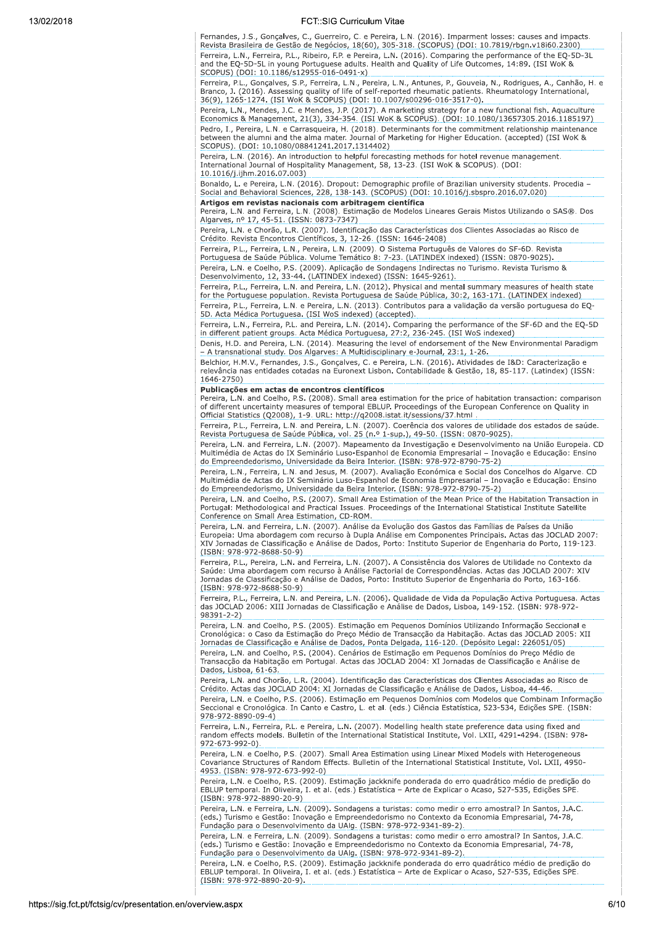Fernandes, J.S., Gonçalves, C., Guerreiro, C. e Pereira, L.N. (2016). Imparment losses: causes and impacts. Revista Brasileira de Gestão de Negócios, 18(60), 305-318. (SCOPUS) (DOI: 10.7819/rbgn.v18i60.2300) Ferreira, L.N., Ferreira, P.L., Ribeiro, F.P. e Pereira, L.N. (2016). Comparing the performance of the EQ-5D-3L and the EQ-5D-5L in young Portuguese adults. Health and Quality of Life Outcomes, 14:89. (ISI WoK & SCOPUS) (DOI: 10.1186/s12955-016-0491-x)

Ferreira, P.L., Gonçalves, S.P., Ferreira, L.N., Pereira, L.N., Antunes, P., Gouveia, N., Rodrigues, A., Canhão, H. e Branco, J. (2016). Assessing quality of life of self-reported rheumatic patients. Rheumatology International,<br>36(9), 1265-1274. (ISI WoK & SCOPUS) (DOI: 10.1007/s00296-016-3517-0).

Pereira, L.N., Mendes, J.C. e Mendes, J.P. (2017). A marketing strategy for a new functional fish. Aquaculture<br>Economics & Management, 21(3), 334-354. (ISI WoK & SCOPUS). (DOI: 10.1080/13657305.2016.1185197) Pedro, I., Pereira, L.N. e Carrasqueira, H. (2018). Determinants for the commitment relationship maintenance between the alumni and the alma mater. Journal of Marketing for Higher Education. (accepted) (ISI Wok &<br>SCOPUS). (DOI: 10.1080/08841241.2017.1314402)

Pereira, L.N. (2016). An introduction to helpful forecasting methods for hotel revenue management.<br>International Journal of Hospitality Management, 58, 13-23. (ISI WoK & SCOPUS). (DOI: 10.1016/j.ijhm.2016.07.003)

Bonaldo, L. e Pereira, L.N. (2016). Dropout: Demographic profile of Brazilian university students. Procedia<br>Social and Behavioral Sciences, 228, 138-143. (SCOPUS) (DOI: 10.1016/j.sbspro.2016.07.020) Artigos em revistas nacionais com arbitragem científica

Pereira, L.N. e Chorão, L.R. (2007). Identificação das Características dos Clientes Associadas ao Risco de<br>Crédito. Revista Encontros Científicos, 3, 12-26. (ISSN: 1646-2408)

Ferreira, P.L., Ferreira, L.N., Pereira, L.N. (2009). O Sistema Português de Valores do SF-6D. Revista

Portuguesa de Saúde Pública. Volume Temático 8: 7-23. (LATINDEX indexed) (ISSN: 0870-9025).

Pereira, L.N. e Coelho, P.S. (2009). Aplicação de Sondagens Indirectas no Turismo. Revista Turismo & Desenvolvimento, 12, 33-44. (LATINDEX indexed) (ISSN: 1645-9261).

Ferreira, P.L., Ferreira, L.N. and Pereira, L.N. (2012). Physical and mental summary measures of health state for the Portuguese population. Revista Portuguesa de Saúde Pública, 30:2, 163-171. (LATINDEX indexed) Ferreira, P.L., Ferreira, L.N. e Pereira, L.N. (2013). Contributos para a validação da versão portuguesa do EQ-5D. Acta Médica Portuguesa. (ISI WoS indexed) (accepted).

Ferreira, L.N., Ferreira, P.L. and Pereira, L.N. (2014). Comparing the performance of the SF-6D and the EQ-5D in different patient groups. Acta Médica Portuguesa, 27:2, 236-245. (ISI WoS indexed)

Denis, H.D. and Pereira, L.N. (2014). Measuring the level of endorsement of the New Environmental Paradigm - A transnational study. Dos Algarves: A Multidisciplinary e-Journal, 23:1, 1-26.

Belchior, H.M.V., Fernandes, J.S., Gonçalves, C. e Pereira, L.N. (2016). Atividades de I&D: Caracterização e relevância nas entidades cotadas na Euronext Lisbon. Contabilidade & Gestão, 18, 85-117. (Latindex) (ISSN: 1646-2750)

# Publicações em actas de encontros científicos

Pereira, L.N. and Coelho, P.S. (2008). Small area estimation for the price of habitation transaction: comparison of different uncertainty measures of temporal EBLUP. Proceedings of the European Conference on Quality in Official Statistics (Q2008), 1-9. URL: http://q2008.istat.it/sessions/37.html

Ferreira, P.L., Ferreira, L.N. and Pereira, L.N. (2007). Coerência dos valores de utilidade dos estados de saúde. Revista Portuguesa de Saúde Pública, vol. 25 (n.º 1-sup.), 49-50. (ISSN: 0870-9025).

Pereira, L.N. and Ferreira, L.N. (2007). Mapeamento da Investigação e Desenvolvimento na União Europeia. CD Multimédia de Actas do IX Seminário Luso-Espanhol de Economia Empresarial - Inovação e Educação: Ensino do Empreendedorismo, Universidade da Beira Interior. (ISBN: 978-972-8790-75-2)

Pereira, L.N., Ferreira, L.N. and Jesus, M. (2007). Avaliação Económica e Social dos Concelhos do Algarve. CD Multimédia de Actas do IX Seminário Luso-Espanhol de Economia Empresarial – Inovação e Educação: Ensino<br>do Empreendedorismo, Universidade da Beira Interior. (ISBN: 978-972-8790-75-2)

Pereira, L.N. and Coelho, P.S. (2007). Small Area Estimation of the Mean Price of the Habitation Transaction in Portugal: Methodological and Practical Issues. Proceedings of the International Statistical Institute Satellite Conference on Small Area Estimation, CD-ROM.

-<br>Pereira, L.N. and Ferreira, L.N. (2007). Análise da Evolução dos Gastos das Famílias de Países da União<br>Europeia: Uma abordagem com recurso à Dupla Análise em Componentes Principais. Actas das JOCLAD 2007: XIV Jornadas de Classificação e Análise de Dados, Porto: Instituto Superior de Engenharia do Porto, 119-123. (ISBN: 978-972-8688-50-9)

Ferreira, P.L., Pereira, L.N. and Ferreira, L.N. (2007). A Consistência dos Valores de Utilidade no Contexto da Saúde: Uma abordagem com recurso à Análise Factorial de Correspondências. Actas das JOCLAD 2007: XIV Jornadas de Classificação e Análise de Dados, Porto: Instituto Superior de Engenharia do Porto, 163-166. (ISBN: 978-972-8688-50-9)

Ferreira, P.L., Ferreira, L.N. and Pereira, L.N. (2006). Qualidade de Vida da População Activa Portuguesa. Actas das JOCLAD 2006: XIII Jornadas de Classificação e Análise de Dados, Lisboa, 149-152. (ISBN: 978-972-98391-2-2)

Pereira, L.N. and Coelho, P.S. (2005). Estimação em Pequenos Domínios Utilizando Informação Seccional e<br>Cronológica: o Caso da Estimação do Preço Médio de Transacção da Habitação. Actas das JOCLAD 2005: XII Jornadas de Classificação e Análise de Dados, Ponta Delgada, 116-120. (Depósito Legal: 226051/05) Pereira, L.N. and Coelho, P.S. (2004). Cenários de Estimação em Pequenos Domínios do Preço Médio de<br>Transacção da Habitação em Portugal. Actas das JOCLAD 2004: XI Jornadas de Classificação e Análise de Dados, Lisboa, 61-63.

Pereira. L.N. and Chorão. L.R. (2004). Identificação das Características dos Clientes Associadas ao Risco de Crédito. Actas das JOCLAD 2004: XI Jornadas de Classificação e Análise de Dados, Lisboa, 44-46. Pereira, L.N. e Coelho, P.S. (2006). Estimação em Pequenos Domínios com Modelos que Combinam Informação Concernational e Cronológica. In Canto e Castro, L. et al. (eds.) Ciência Estatística, 523-534, Edições SPE. (ISBN:<br>Seccional e Cronológica. In Canto e Castro, L. et al. (eds.) Ciência Estatística, 523-534, Edições SPE. (I 978-972-8890-09-4)

Ferreira, L.N., Ferreira, P.L. e Pereira, L.N. (2007). Modelling health state preference data using fixed and random effects models. Bulletin of the International Statistical Institute, Vol. LXII, 4291-4294. (ISBN: 978-972-673-992-0).

Pereira, L.N. e Coelho, P.S. (2007). Small Area Estimation using Linear Mixed Models with Heterogeneous Covariance Structures of Random Effects. Bulletin of the International Statistical Institute, Vol. LXII, 4950-4953. (ISBN: 978-972-673-992-0)

Pereira, L.N. e Coelho, P.S. (2009). Estimação jackknife ponderada do erro quadrático médio de predição do EBLUP temporal. In Oliveira, I. et al. (eds.) Estatística - Arte de Explicar o Acaso, 527-535, Edições SPE. (ISBN: 978-972-8890-20-9)

Pereira, L.N. e Ferreira, L.N. (2009). Sondagens a turistas: como medir o erro amostral? In Santos, J.A.C. (eds.) Turismo e Gestão: Inovação e Empreendedorismo no Contexto da Economia Empresarial, 74-78, Fundação para o Desenvolvimento da UAlg. (ISBN: 978-972-9341-89-2).

Pereira, L.N. e Ferreira, L.N. (2009). Sondagens a turistas: como medir o erro amostral? In Santos, J.A.C. (eds.) Turismo e Gestão: Inovação e Empreendedorismo no Contexto da Economia Empresarial, 74-78, Fundação para o Desenvolvimento da UAIg. (ISBN: 978-972-9341-89-2).

Pereira, L.N. e Coelho, P.S. (2009). Estimação jackknife ponderada do erro quadrático médio de predição do EBLUP temporal. In Oliveira, I. et al. (eds.) Estatística - Arte de Explicar o Acaso, 527-535, Edições SPE.  $(ISBN: 978-972-8890-20-9)$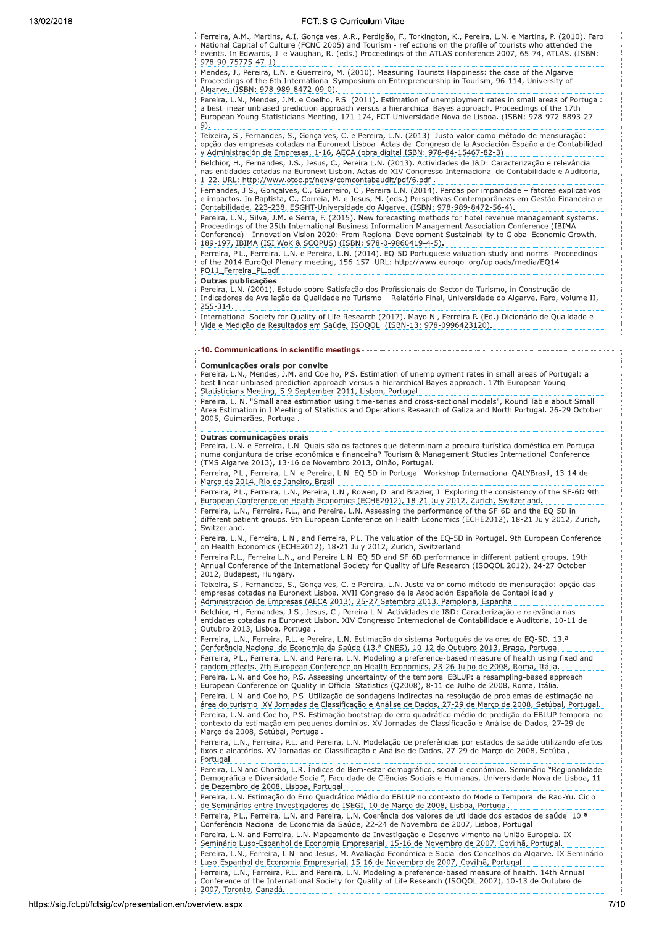Ferreira, A.M., Martins, A.I, Gonçalves, A.R., Perdigão, F., Torkington, K., Pereira, L.N. e Martins, P. (2010). Faro National Capital of Culture (FCNC 2005) and Tourism - reflections on the profile of tourists who attended the vectors of the diverse of the contract of the ATLAS conference 2007, 65-74, ATLAS. (ISBN:  $978 - 90 - 75775 - 47 - 1$ 

Mendes, J., Pereira, L.N. e Guerreiro, M. (2010). Measuring Tourists Happiness: the case of the Algarve. Proceedings of the 6th International Symposium on Entrepreneurship in Tourism, 96-114, University of Algarve. (ISBN: 978-989-8472-09-0).

Pereira, L.N., Mendes, J.M. e Coelho, P.S. (2011). Estimation of unemployment rates in small areas of Portugal: a best linear unbiased prediction approach versus a hierarchical Bayes approach. Proceedings of the 17th European Young Statisticians Meeting, 171-174, FCT-Universidade Nova de Lisboa. (ISBN: 978-972-8893-27 9)

Teixeira, S., Fernandes, S., Gonçalves, C. e Pereira, L.N. (2013). Justo valor como método de mensuração: opção das empresas cotadas na Euronext Lisboa. Actas del Congreso de la Asociación Española de Contabilidad y Administración de Empresas, 1-16, AECA (obra digital ISBN: 978-84-15467-82-3).

Belchior, H., Fernandes, J.S., Jesus, C., Pereira L.N. (2013). Actividades de I&D: Caracterização e relevância nas entidades cotadas na Euronext Lisbon. Actas do XIV Congresso Internacional de Contabilidade e Auditoria, 1-22. URL: http://www.otoc.pt/news/comcontabaudit/pdf/6.pdf

Fernandes, J.S., Gonçalves, C., Guerreiro, C., Pereira L.N. (2014). Perdas por imparidade - fatores explicativos reminacion di Baptista, C., Correia, M. e Jesus, M. (eds.) Perspetivas Contemporâneas em Gestão Financeira e<br>Contabilidade, 223-238, ESGHT-Universidade do Algarve. (ISBN: 978-989-8472-56-4).

Pereira, L.N., Silva, J.M. e Serra, F. (2015). New forecasting methods for hotel revenue management systems.<br>Proceedings of the 25th International Business Information Management Association Conference (IBIMA Conference) - Innovation Vision 2020: From Regional Development Sustainability to Global Economic Growth, 189-197, IBIMA (ISI WoK & SCOPUS) (ISBN: 978-0-9860419-4-5).

Ferreira, P.L., Ferreira, L.N. e Pereira, L.N. (2014). EQ-5D Portuguese valuation study and norms. Proceedings of the 2014 EuroQol Plenary meeting, 156-157. URL: http://www.euroqol.org/uploads/media/EQ14-PO11\_Ferreira\_PL.pdf

## Outras publicações

Pereira, L.N. (2001). Estudo sobre Satisfação dos Profissionais do Sector do Turismo, in Construção de Indicadores de Avaliação da Qualidade no Turismo - Relatório Final, Universidade do Algarve, Faro, Volume II, 255-314.

International Society for Quality of Life Research (2017). Mayo N., Ferreira P. (Ed.) Dicionário de Qualidade e Vida e Medição de Resultados em Saúde, ISOQOL. (ISBN-13: 978-0996423120).

### 10. Communications in scientific meetings

#### Comunicações orais por convite

Pereira, L.N., Mendes, J.M. and Coelho, P.S. Estimation of unemployment rates in small areas of Portugal: a best linear unbiased prediction approach versus a hierarchical Bayes approach. 17th European Young Statisticians Meeting, 5-9 September 2011, Lisbon, Portugal.

Pereira, L. N. "Small area estimation using time-series and cross-sectional models", Round Table about Small Area Estimation in I Meeting of Statistics and Operations Research of Galiza and North Portugal. 26-29 October 2005, Guimarães, Portugal

#### Outras comunicações orais

Pereira, L.N. e Ferreira, L.N. Quais são os factores que determinam a procura turística doméstica em Portugal numa conjuntura de crise económica e financeira? Tourism & Management Studies International Conference (TMS Algarve 2013), 13-16 de Novembro 2013, Olhão, Portugal.

Ferreira, P.L., Ferreira, L.N. e Pereira, L.N. EQ-5D in Portugal. Workshop Internacional QALYBrasil, 13-14 de Março de 2014, Rio de Janeiro, Brasil.

Ferreira, P.L., Ferreira, L.N., Pereira, L.N., Rowen, D. and Brazier, J. Exploring the consistency of the SF-6D.9th European Conference on Health Economics (ECHE2012), 18-21 July 2012, Zurich, Switzerland.

Ferreira, L.N., Ferreira, P.L., and Pereira, L.N. Assessing the performance of the SF-6D and the EQ-5D in different patient groups. 9th European Conference on Health Economics (ECHE2012), 18-21 July 2012, Zurich, Switzerland.

Pereira, L.N., Ferreira, L.N., and Ferreira, P.L. The valuation of the EQ-5D in Portugal. 9th European Conference<br>on Health Economics (ECHE2012), 18-21 July 2012, Zurich, Switzerland.

Ferreira P.L., Ferreira L.N., and Pereira L.N. EQ-5D and SF-6D performance in different patient groups. 19th<br>Annual Conference of the International Society for Quality of Life Research (ISOQOL 2012), 24-27 October 2012, Budapest, Hungary.

Teixeira, S., Fernandes, S., Gonçalves, C. e Pereira, L.N. Justo valor como método de mensuração: opção das empresas cotadas na Euronext Lisboa. XVII Congreso de la Asociación Española de Contabilidad y Administración de Empresas (AECA 2013), 25-27 Setembro 2013, Pamplona, Espanha.

Belchior, H., Fernandes, J.S., Jesus, C., Pereira L.N. Actividades de I&D: Caracterização e relevância nas<br>entidades cotadas na Euronext Lisbon. XIV Congresso Internacional de Contabilidade e Auditoria, 10-11 de Outubro 2013, Lisboa, Portugal.

Ferreira, L.N., Ferreira, P.L. e Pereira, L.N. Estimação do sistema Português de valores do EQ-5D. 13.ª Conferência Nacional de Economia da Saúde (13.ª CNES), 10-12 de Outubro 2013, Braga, Portugal. Ferreira, P.L., Ferreira, L.N. and Pereira, L.N. Modeling a preference-based measure of health using fixed and random effects. 7th European Conference on Health Economics, 23-26 Julho de 2008, Roma, Itália.

Pereira, L.N. and Coelho, P.S. Assessing uncertainty of the temporal EBLUP: a resampling-based approach. European Conference on Quality in Official Statistics (Q2008), 8-11 de Julho de 2008, Roma, Itália.

Pereira, L.N. and Coelho, P.S. Utilização de sondagens indirectas na resolução de problemas de estimação na área do turismo. XV Jornadas de Classificação e Análise de Dados, 27-29 de Março de 2008, Setúbal, Portugal. Pereira, L.N. and Coelho, P.S. Estimação bootstrap do erro quadrático médio de predição do EBLUP temporal no<br>contexto da estimação em pequenos domínios. XV Jornadas de Classificação e Análise de Dados, 27-29 de Março de 2008, Setúbal, Portugal.

Ferreira, L.N., Ferreira, P.L. and Pereira, L.N. Modelação de preferências por estados de saúde utilizando efeitos fixos e aleatórios. XV Jornadas de Classificação e Análise de Dados, 27-29 de Março de 2008, Setúbal, Portugal

Pereira, L.N and Chorão, L.R. Índices de Bem-estar demográfico, social e económico. Seminário "Regionalidade Demográfica e Diversidade Social", Faculdade de Ciências Sociais e Humanas, Universidade Nova de Lisboa, 11 de Dezembro de 2008, Lisboa, Portugal.

Pereira, L.N. Estimação do Erro Quadrático Médio do EBLUP no contexto do Modelo Temporal de Rao-Yu. Ciclo de Seminários entre Investigadores do ISEGI, 10 de Março de 2008, Lisboa, Portugal.

Ferreira, P.L., Ferreira, L.N. and Pereira, L.N. Coerência dos valores de utilidade dos estados de saúde. 10.ª Conferência Nacional de Economia da Saúde, 22-24 de Novembro de 2007, Lisboa, Portugal. Pereira, L.N. and Ferreira, L.N. Mapeamento da Investigação e Desenvolvimento na União Europeia. IX Seminário Luso-Espanhol de Economia Empresarial, 15-16 de Novembro de 2007, Covilhã, Portugal.

Pereira, L.N., Ferreira, L.N. and Jesus, M. Avaliação Económica e Social dos Concelhos do Algarve. IX Seminário Luso-Espanhol de Economia Empresarial, 15-16 de Novembro de 2007, Covilhã, Portugal. Ferreira, L.N., Ferreira, P.L. and Pereira, L.N. Modeling a preference-based measure of health. 14th Annual

Conference of the International Society for Quality of Life Research (ISOQOL 2007), 10-13 de Outubro de 2007, Toronto, Canadá.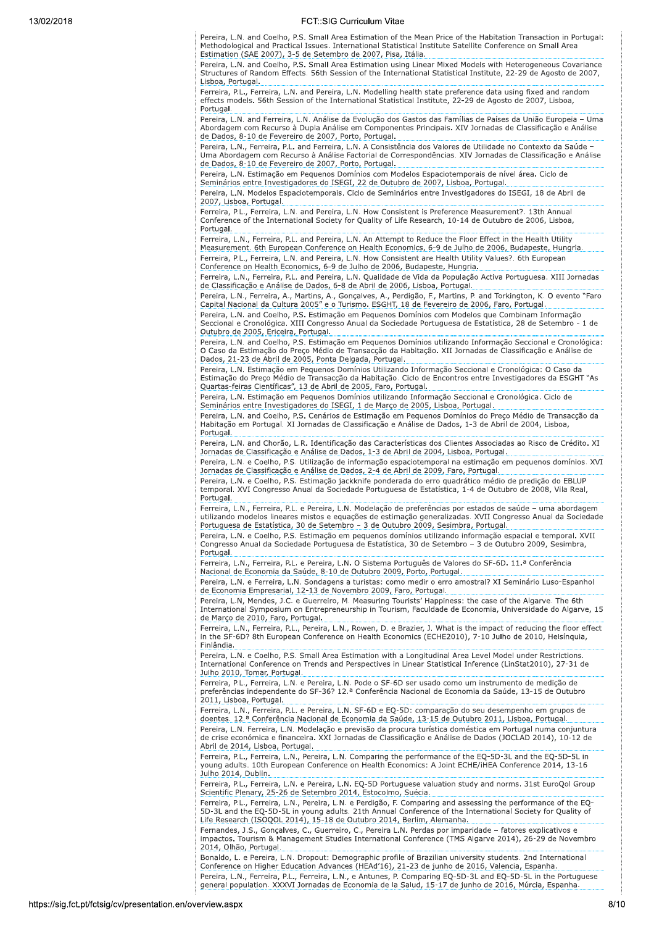Pereira, L.N. and Coelho, P.S. Small Area Estimation of the Mean Price of the Habitation Transaction in Portugal: Methodological and Practical Issues. International Statistical Institute Satellite Conference on Small Area Estimation (SAE 2007), 3-5 de Setembro de 2007, Pisa, Itália.

Pereira, L.N. and Coelho, P.S. Small Area Estimation using Linear Mixed Models with Heterogeneous Covariance Structures of Random Effects. 56th Session of the International Statistical Institute, 22-29 de Agosto de 2007, Lisboa, Portugal.

Ferreira, P.L., Ferreira, L.N. and Pereira, L.N. Modelling health state preference data using fixed and random effects models. 56th Session of the International Statistical Institute, 22-29 de Agosto de 2007, Lisboa, Portugal.

Pereira, L.N. and Ferreira, L.N. Análise da Evolução dos Gastos das Famílias de Países da União Europeia - Uma Abordagem com Recurso à Dupla Análise em Componentes Principais. XIV Jornadas de Classificação e Análise de Dados, 8-10 de Fevereiro de 2007, Porto, Portugal.

Pereira, L.N., Ferreira, P.L. and Ferreira, L.N. A Consistência dos Valores de Utilidade no Contexto da Saúde<br>Uma Abordagem com Recurso à Análise Factorial de Correspondências. XIV Jornadas de Classificação e Análise de Dados, 8-10 de Fevereiro de 2007, Porto, Portugal.

Pereira, L.N. Estimação em Pequenos Domínios com Modelos Espaciotemporais de nível área. Ciclo de Seminários entre Investigadores do ISEGI, 22 de Outubro de 2007, Lisboa, Portugal.

Pereira, L.N. Modelos Espaciotemporais. Ciclo de Seminários entre Investigadores do ISEGI, 18 de Abril de 2007, Lisboa, Portugal.

Ferreira, P.L., Ferreira, L.N. and Pereira, L.N. How Consistent is Preference Measurement?. 13th Annual Conference of the International Society for Ouality of Life Research, 10-14 de Outubro de 2006, Lisboa, Portugal

Ferreira, L.N., Ferreira, P.L. and Pereira, L.N. An Attempt to Reduce the Floor Effect in the Health Utility Measurement. 6th European Conference on Health Economics, 6-9 de Julho de 2006, Budapeste, Hungria. Ferreira, P.L., Ferreira, L.N. and Pereira, L.N. How Consistent are Health Utility Values?. 6th European<br>Conference on Health Economics, 6-9 de Julho de 2006, Budapeste, Hungria.

Ferreira, L.N., Ferreira, P.L. and Pereira, L.N. Qualidade de Vida da População Activa Portuguesa. XIII Jornadas de Classificação e Análise de Dados, 6-8 de Abril de 2006, Lisboa, Portugal.

Pereira, L.N., Ferreira, A., Martins, A., Gonçalves, A., Perdigão, F., Martins, P. and Torkington, K. O evento "Faro Capital Nacional da Cultura 2005" e o Turismo. ESGHT, 18 de Fevereiro de 2006, Faro, Portugal.

Pereira, L.N. and Coelho, P.S. Estimação em Pequenos Domínios com Modelos que Combinam Informação Seccional e Cronológica. XIII Congresso Anual da Sociedade Portuguesa de Estatística, 28 de Setembro - 1 de Outubro de 2005, Ericeira, Portugal.

Pereira, L.N. and Coelho, P.S. Estimação em Pequenos Domínios utilizando Informação Seccional e Cronológica: O Caso da Estimação do Preço Médio de Transacção da Habitação. XII Jornadas de Classificação e Análise de Dados, 21-23 de Abril de 2005, Ponta Delgada, Portugal.

Pereira, L.N. Estimação em Pequenos Domínios Utilizando Informação Seccional e Cronológica: O Caso da Estimação do Preço Médio de Transacção da Habitação. Ciclo de Encontros entre Investigadores da ESGHT "As Quartas-feiras Científicas", 13 de Abril de 2005, Faro, Portugal.

Pereira, L.N. Estimação em Pequenos Domínios utilizando Informação Seccional e Cronológica. Ciclo de Seminários entre Investigadores do ISEGI, 1 de Março de 2005, Lisboa, Portugal.

Pereira, L.N. and Coelho, P.S. Cenários de Estimação em Pequenos Domínios do Preço Médio de Transacção da Habitação em Portugal. XI Jornadas de Classificação e Análise de Dados, 1-3 de Abril de 2004, Lisboa, Portugal.

Pereira, L.N. and Chorão, L.R. Identificação das Características dos Clientes Associadas ao Risco de Crédito. XI Jornadas de Classificação e Análise de Dados, 1-3 de Abril de 2004, Lisboa, Portugal. Pereira, L.N. e Coelho, P.S. Utilização de informação espaciotemporal na estimação em pequenos domínios. XVI

Jornadas de Classificação e Análise de Dados, 2-4 de Abril de 2009, Faro, Portugal. Pereira, L.N. e Coelho, P.S. Estimação jackknife ponderada do erro quadrático médio de predição do EBLUP

temporal. XVI Congresso Anual da Sociedade Portuguesa de Estatística, 1-4 de Outubro de 2008, Vila Real, Portugal.

Ferreira, L.N., Ferreira, P.L. e Pereira, L.N. Modelação de preferências por estados de saúde - uma abordagem utilizando modelos lineares mistos e equações de estimação generalizadas. XVII Congresso Anual da Sociedade Portuguesa de Estatística, 30 de Setembro - 3 de Outubro 2009, Sesimbra, Portugal.

Pereira, L.N. e Coelho, P.S. Estimação em pequenos domínios utilizando informação espacial e temporal. XVII Congresso Anual da Sociedade Portuguesa de Estatística, 30 de Setembro - 3 de Outubro 2009, Sesimbra, Portugal.

Ferreira, L.N., Ferreira, P.L. e Pereira, L.N. O Sistema Português de Valores do SF-6D. 11.ª Conferência Nacional de Economia da Saúde, 8-10 de Outubro 2009, Porto, Portugal.

Pereira, L.N. e Ferreira, L.N. Sondagens a turistas: como medir o erro amostral? XI Seminário Luso-Espanhol de Economia Empresarial, 12-13 de Novembro 2009, Faro, Portugal.

Pereira, L.N, Mendes, J.C. e Guerreiro, M. Measuring Tourists' Happiness: the case of the Algarve. The 6th International Symposium on Entrepreneurship in Tourism, Faculdade de Economia, Universidade do Algarve, 15 de Março de 2010, Faro, Portugal.

Ferreira, L.N., Ferreira, P.L., Pereira, L.N., Rowen, D. e Brazier, J. What is the impact of reducing the floor effect in the SF-6D? 8th European Conference on Health Economics (ECHE2010), 7-10 Julho de 2010, Helsinguia, Finlândia.

Pereira, L.N. e Coelho, P.S. Small Area Estimation with a Longitudinal Area Level Model under Restrictions. International Conference on Trends and Perspectives in Linear Statistical Inference (LinStat2010), 27-31 de Julho 2010, Tomar, Portugal.

Ferreira, P.L., Ferreira, L.N. e Pereira, L.N. Pode o SF-6D ser usado como um instrumento de medicão de preferências independente do SF-36? 12.ª Conferência Nacional de Economia da Saúde, 13-15 de Outubro 2011, Lisboa, Portugal.

Ferreira, L.N., Ferreira, P.L. e Pereira, L.N. SF-6D e EQ-5D: comparação do seu desempenho em grupos de<br>doentes. 12.ª Conferência Nacional de Economia da Saúde, 13-15 de Outubro 2011, Lisboa, Portugal. Pereira, L.N. Ferreira, L.N. Modelação e previsão da procura turística doméstica em Portugal numa conjuntura de crise económica e financeira. XXI Jornadas de Classificação e Análise de Dados (JOCLAD 2014), 10-12 de Abril de 2014, Lisboa, Portugal.

Ferreira, P.L., Ferreira, L.N., Pereira, L.N. Comparing the performance of the EQ-5D-3L and the EQ-5D-5L in young adults. 10th European Conference on Health Economics: A Joint ECHE/IHEA Conference 2014, 13-16 Julho 2014, Dublin.

Ferreira, P.L., Ferreira, L.N. e Pereira, L.N. EQ-5D Portuguese valuation study and norms. 31st EuroQol Group Scientific Plenary, 25-26 de Setembro 2014, Estocolmo, Suécia.

Ferreira, P.L., Ferreira, L.N., Pereira, L.N. e Perdigão, F. Comparing and assessing the performance of the EQ-5D-3L and the EQ-5D-5L in young adults. 21th Annual Conference of the International Society for Quality of Life Research (ISOQOL 2014), 15-18 de Outubro 2014, Berlim, Alemanha.

Fernandes, J.S., Gonçalves, C., Guerreiro, C., Pereira L.N. Perdas por imparidade - fatores explicativos e impactos. Tourism & Management Studies International Conference (TMS Algarve 2014), 26-29 de Novembro 2014, Olhão, Portugal.

Bonaldo, L. e Pereira, L.N. Dropout: Demographic profile of Brazilian university students. 2nd International Conference on Higher Education Advances (HEAd'16), 21-23 de junho de 2016, Valencia, Espanha. Pereira, L.N., Ferreira, P.L., Ferreira, L.N., e Antunes, P. Comparing EQ-5D-3L and EQ-5D-5L in the Portuguese<br>general population. XXXVI Jornadas de Economia de la Salud, 15-17 de junho de 2016, Múrcia, Espanha.